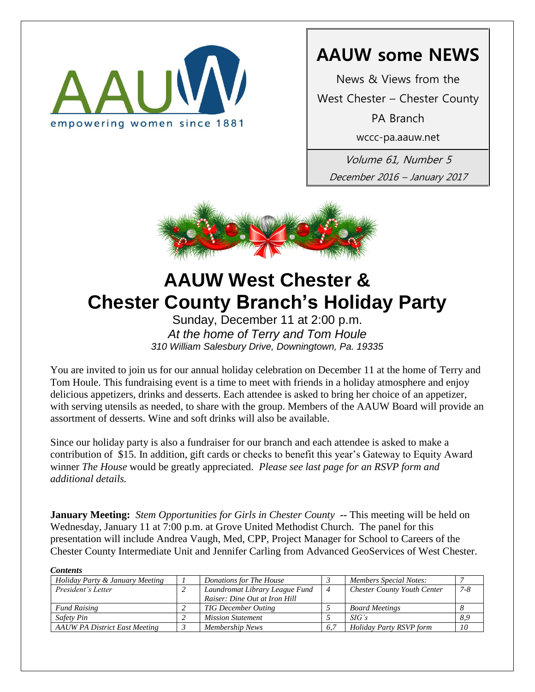

# **AAUW some NEWS**

News & Views from the

West Chester – Chester County

PA Branch

wccc-pa.aauw.net

Volume 61, Number 5 December 2016 – January 2017



# **AAUW West Chester & Chester County Branch's Holiday Party**

Sunday, December 11 at 2:00 p.m. *At the home of Terry and Tom Houle 310 William Salesbury Drive, Downingtown, Pa. 19335* 

You are invited to join us for our annual holiday celebration on December 11 at the home of Terry and Tom Houle. This fundraising event is a time to meet with friends in a holiday atmosphere and enjoy delicious appetizers, drinks and desserts. Each attendee is asked to bring her choice of an appetizer, with serving utensils as needed, to share with the group. Members of the AAUW Board will provide an assortment of desserts. Wine and soft drinks will also be available.

Since our holiday party is also a fundraiser for our branch and each attendee is asked to make a contribution of \$15. In addition, gift cards or checks to benefit this year's Gateway to Equity Award winner *The House* would be greatly appreciated. *Please see last page for an RSVP form and additional details.*

**January Meeting:** *Stem Opportunities for Girls in Chester County* **--** This meeting will be held on Wednesday, January 11 at 7:00 p.m. at Grove United Methodist Church. The panel for this presentation will include Andrea Vaugh, Med, CPP, Project Manager for School to Careers of the Chester County Intermediate Unit and Jennifer Carling from Advanced GeoServices of West Chester.

*Contents Holiday Party & January Meeting 1 Donations for The House 3 Members Special Notes: 7 President's Letter 2 Laundromat Library League Fund Raiser: Dine Out at Iron Hill 4 Chester County Youth Center 7-8 Fund Raising 2 TIG December Outing 5 Board Meetings 8 Safety Pin 2 Mission Statement 5 SIG's 8,9 AAUW PA District East Meeting 3 Membership News 6,7 Holiday Party RSVP form 10*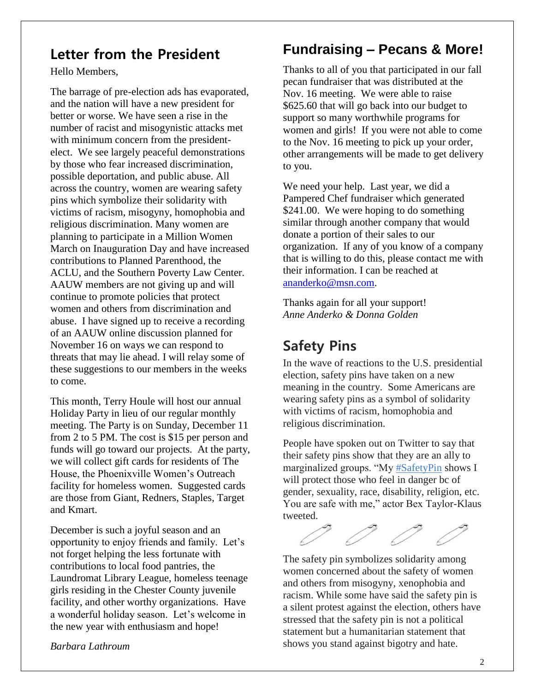# **Letter from the President**

Hello Members,

The barrage of pre-election ads has evaporated, and the nation will have a new president for better or worse. We have seen a rise in the number of racist and misogynistic attacks met with minimum concern from the presidentelect. We see largely peaceful demonstrations by those who fear increased discrimination, possible deportation, and public abuse. All across the country, women are wearing safety pins which symbolize their solidarity with victims of racism, misogyny, homophobia and religious discrimination. Many women are planning to participate in a Million Women March on Inauguration Day and have increased contributions to Planned Parenthood, the ACLU, and the Southern Poverty Law Center. AAUW members are not giving up and will continue to promote policies that protect women and others from discrimination and abuse. I have signed up to receive a recording of an AAUW online discussion planned for November 16 on ways we can respond to threats that may lie ahead. I will relay some of these suggestions to our members in the weeks to come.

This month, Terry Houle will host our annual Holiday Party in lieu of our regular monthly meeting. The Party is on Sunday, December 11 from 2 to 5 PM. The cost is \$15 per person and funds will go toward our projects. At the party, we will collect gift cards for residents of The House, the Phoenixville Women's Outreach facility for homeless women. Suggested cards are those from Giant, Redners, Staples, Target and Kmart.

December is such a joyful season and an opportunity to enjoy friends and family. Let's not forget helping the less fortunate with contributions to local food pantries, the Laundromat Library League, homeless teenage girls residing in the Chester County juvenile facility, and other worthy organizations. Have a wonderful holiday season. Let's welcome in the new year with enthusiasm and hope!

*Barbara Lathroum*

# **Fundraising – Pecans & More!**

Thanks to all of you that participated in our fall pecan fundraiser that was distributed at the Nov. 16 meeting. We were able to raise \$625.60 that will go back into our budget to support so many worthwhile programs for women and girls! If you were not able to come to the Nov. 16 meeting to pick up your order, other arrangements will be made to get delivery to you.

We need your help. Last year, we did a Pampered Chef fundraiser which generated \$241.00. We were hoping to do something similar through another company that would donate a portion of their sales to our organization. If any of you know of a company that is willing to do this, please contact me with their information. I can be reached at [ananderko@msn.com.](mailto:ananderko@msn.com)

Thanks again for all your support! *Anne Anderko & Donna Golden*

# **Safety Pins**

In the wave of reactions to the U.S. presidential election, safety pins have taken on a new meaning in the country. Some Americans are wearing safety pins as a symbol of solidarity with victims of racism, homophobia and religious discrimination.

People have spoken out on Twitter to say that their safety pins show that they are an ally to marginalized groups. "My [#SafetyPin](https://twitter.com/hashtag/SafetyPin?src=hash) shows I will protect those who feel in danger bc of gender, sexuality, race, disability, religion, etc. You are safe with me," actor Bex Taylor-Klaus tweeted.



The safety pin symbolizes solidarity among women concerned about the safety of women and others from misogyny, xenophobia and racism. While some have said the safety pin is a silent protest against the election, others have stressed that the [safety pin](https://twitter.com/hashtag/safetypin?src=hash) is not a political statement but a humanitarian statement that shows you stand against bigotry and hate.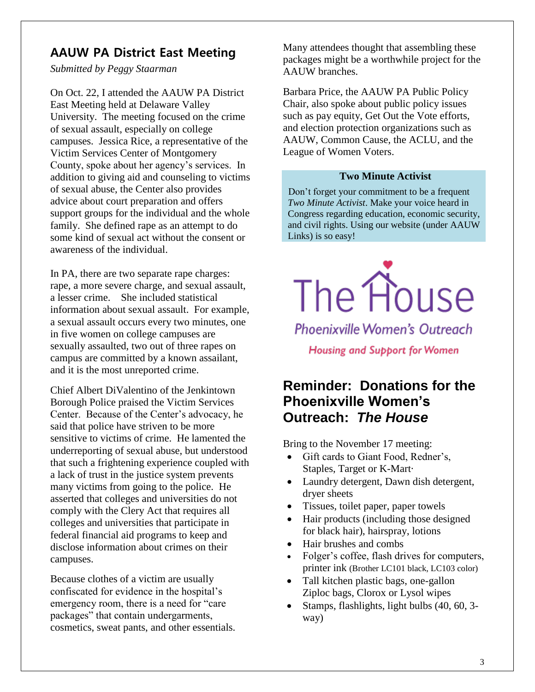### **AAUW PA District East Meeting**

*Submitted by Peggy Staarman*

On Oct. 22, I attended the AAUW PA District East Meeting held at Delaware Valley University. The meeting focused on the crime of sexual assault, especially on college campuses. Jessica Rice, a representative of the Victim Services Center of Montgomery County, spoke about her agency's services. In addition to giving aid and counseling to victims of sexual abuse, the Center also provides advice about court preparation and offers support groups for the individual and the whole family. She defined rape as an attempt to do some kind of sexual act without the consent or awareness of the individual.

In PA, there are two separate rape charges: rape, a more severe charge, and sexual assault, a lesser crime. She included statistical information about sexual assault. For example, a sexual assault occurs every two minutes, one in five women on college campuses are sexually assaulted, two out of three rapes on campus are committed by a known assailant, and it is the most unreported crime.

Chief Albert DiValentino of the Jenkintown Borough Police praised the Victim Services Center. Because of the Center's advocacy, he said that police have striven to be more sensitive to victims of crime. He lamented the underreporting of sexual abuse, but understood that such a frightening experience coupled with a lack of trust in the justice system prevents many victims from going to the police. He asserted that colleges and universities do not comply with the Clery Act that requires all colleges and universities that participate in federal financial aid programs to keep and disclose information about crimes on their campuses.

Because clothes of a victim are usually confiscated for evidence in the hospital's emergency room, there is a need for "care packages" that contain undergarments, cosmetics, sweat pants, and other essentials. Many attendees thought that assembling these packages might be a worthwhile project for the AAUW branches.

Barbara Price, the AAUW PA Public Policy Chair, also spoke about public policy issues such as pay equity, Get Out the Vote efforts, and election protection organizations such as AAUW, Common Cause, the ACLU, and the League of Women Voters.

### **Two Minute Activist**

Don't forget your commitment to be a frequent *Two Minute Activist*. Make your voice heard in Congress regarding education, economic security, and civil rights. Using our website (under AAUW Links) is so easy!



**Phoenixville Women's Outreach** 

**Housing and Support for Women** 

## **Reminder: Donations for the Phoenixville Women's Outreach:** *The House*

Bring to the November 17 meeting:

- Gift cards to Giant Food, Redner's, Staples, Target or K-Mart·
- Laundry detergent, Dawn dish detergent, dryer sheets
- Tissues, toilet paper, paper towels
- Hair products (including those designed for black hair), hairspray, lotions
- Hair brushes and combs
- Folger's coffee, flash drives for computers, printer ink (Brother LC101 black, LC103 color)
- Tall kitchen plastic bags, one-gallon Ziploc bags, Clorox or Lysol wipes
- Stamps, flashlights, light bulbs (40, 60, 3way)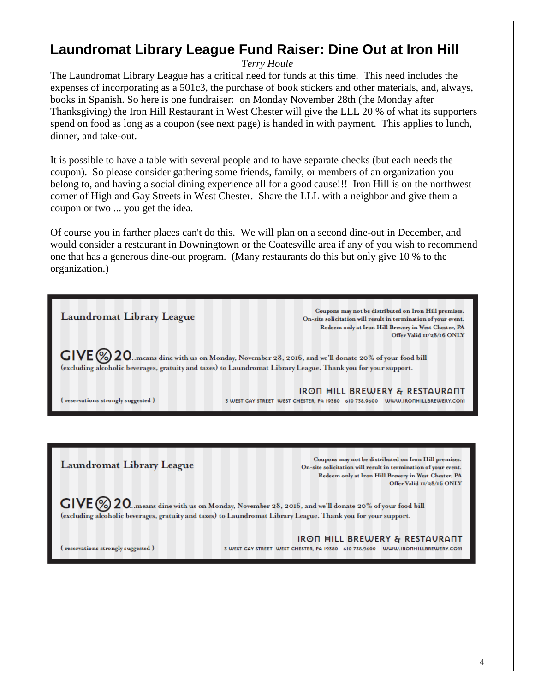## **Laundromat Library League Fund Raiser: Dine Out at Iron Hill**

*Terry Houle*

The Laundromat Library League has a critical need for funds at this time. This need includes the expenses of incorporating as a 501c3, the purchase of book stickers and other materials, and, always, books in Spanish. So here is one fundraiser: on Monday November 28th (the Monday after Thanksgiving) the Iron Hill Restaurant in West Chester will give the LLL 20 % of what its supporters spend on food as long as a coupon (see next page) is handed in with payment. This applies to lunch, dinner, and take-out.

It is possible to have a table with several people and to have separate checks (but each needs the coupon). So please consider gathering some friends, family, or members of an organization you belong to, and having a social dining experience all for a good cause!!! Iron Hill is on the northwest corner of High and Gay Streets in West Chester. Share the LLL with a neighbor and give them a coupon or two ... you get the idea.

Of course you in farther places can't do this. We will plan on a second dine-out in December, and would consider a restaurant in Downingtown or the Coatesville area if any of you wish to recommend one that has a generous dine-out program. (Many restaurants do this but only give 10 % to the organization.)



Redeem only at Iron Hill Brewery in West Chester, PA Offer Valid II/28/16 ONLY

 $\mathsf{GIVE} \textcircled{\%} 20$ ...means dine with us on Monday, November 28, 2016, and we'll donate 20% of your food bill (excluding alcoholic beverages, gratuity and taxes) to Laundromat Library League. Thank you for your support.

(reservations strongly suggested)

IRON HILL BREWERY & RESTAURANT 3 WEST GAY STREET WEST CHESTER, PA 19380 610 738.9600 WWW.IRONHILLBREWERY.COM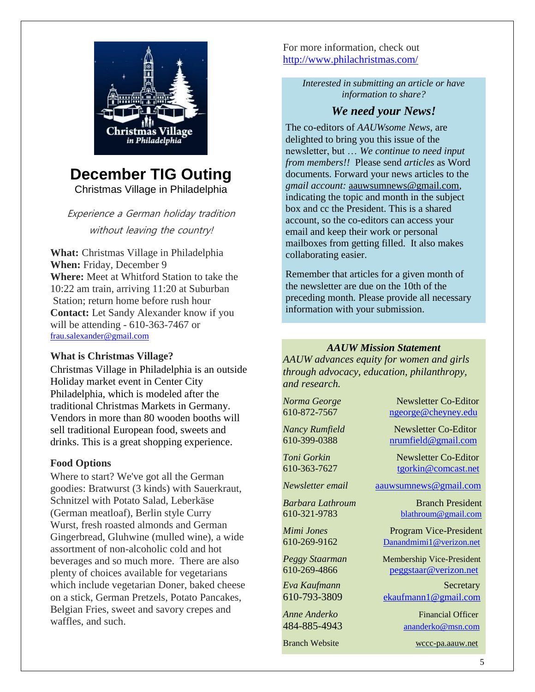

# **December TIG Outing**

Christmas Village in Philadelphia

Experience a German holiday tradition without leaving the country!

**What:** Christmas Village in Philadelphia **When:** Friday, December 9 **Where:** Meet at Whitford Station to take the 10:22 am train, arriving 11:20 at Suburban Station; return home before rush hour **Contact:** Let Sandy Alexander know if you will be attending - 610-363-7467 or [frau.salexander@gmail.com](mailto:frau.salexander@gmail.com)

### **What is Christmas Village?**

Christmas Village in Philadelphia is an outside Holiday market event in Center City Philadelphia, which is modeled after the traditional Christmas Markets in Germany. [Vendors](http://www.philachristmas.com/vendors.html) in more than 80 wooden booths will sell traditional European food, sweets and drinks. This is a great shopping experience.

### **Food Options**

Where to start? We've got all the German goodies: Bratwurst (3 kinds) with Sauerkraut, Schnitzel with Potato Salad, Leberkäse (German meatloaf), Berlin style Curry Wurst, fresh roasted almonds and German Gingerbread, Gluhwine (mulled wine), a wide assortment of non-alcoholic cold and hot beverages and so much more. There are also plenty of choices available for vegetarians which include vegetarian Doner, baked cheese on a stick, German Pretzels, Potato Pancakes, Belgian Fries, sweet and savory crepes and waffles, and such.

For more information, check out <http://www.philachristmas.com/>

> *Interested in submitting an article or have information to share?*

### *We need your News!*

The co-editors of *AAUWsome News*, are delighted to bring you this issue of the newsletter, but … *We continue to need input from members!!* Please send *articles* as Word documents. Forward your news articles to the *gmail account:* [aauwsumnews@gmail.com,](mailto:aauwsum@gmail.com) indicating the topic and month in the subject box and cc the President. This is a shared account, so the co-editors can access your email and keep their work or personal mailboxes from getting filled. It also makes collaborating easier.

Remember that articles for a given month of the newsletter are due on the 10th of the preceding month*.* Please provide all necessary information with your submission.

### *AAUW Mission Statement*

*AAUW advances equity for women and girls through advocacy, education, philanthropy, and research.*

*Norma George* Newsletter Co-Editor 610-872-7567 [ngeorge@cheyney.edu](mailto:ngeorge@cheyney.ecu)

*Nancy Rumfield* Newsletter Co-Editor 610-399-0388 [nrumfield@gmail.com](mailto:nrumfield@gmail.com)

*Toni Gorkin* Newsletter Co-Editor 610-363-7627 [tgorkin@comcast.net](mailto:tgorkin@comcast.net)

*Newsletter email* [aauwsumnews@gmail.com](mailto:aauwsumnews@gmail.com)

*Barbara Lathroum* Branch President [610-321-9783](mailto:610-321-9783) [blathroum@gmail.com](mailto:blathroum@gmail.com)

*Mimi Jones* Program Vice-President 610-269-9162 Danandmimi1@verizon.net

*Peggy Staarman* Membership Vice-President 610-269-4866 [peggstaar@verizon.net](mailto:4dores@comcast.net)

*Eva Kaufmann* Secretary [610-793-3809](mailto:610-793-3809) [ekaufmann1@gmail.com](mailto:ekaufmann1@gmail.com)

*Anne Anderko* Financial Officer [484-885-4943](mailto:484-885-4943) [ananderko@msn.com](mailto:ananderko@msn.com)

Branch Website [wccc-pa.aauw.net](http://wccc-pa.aauw.net/)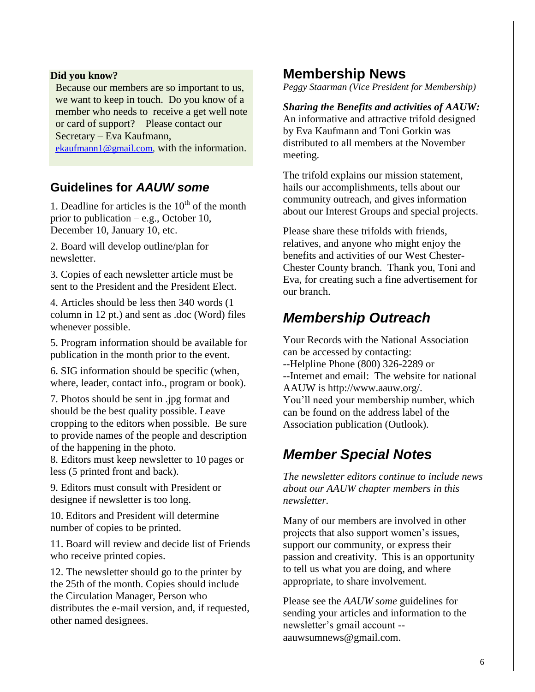#### **Did you know?**

 Because our members are so important to us, we want to keep in touch. Do you know of a member who needs to receive a get well note or card of support? Please contact our Secretary – Eva Kaufmann,

[ekaufmann1@gmail.com,](mailto:ekaufmann1@gmail.com) with the information.

### **Guidelines for** *AAUW some*

1. Deadline for articles is the  $10<sup>th</sup>$  of the month prior to publication – e.g., October 10, December 10, January 10, etc.

2. Board will develop outline/plan for newsletter.

3. Copies of each newsletter article must be sent to the President and the President Elect.

4. Articles should be less then 340 words (1 column in 12 pt.) and sent as .doc (Word) files whenever possible.

5. Program information should be available for publication in the month prior to the event.

6. SIG information should be specific (when, where, leader, contact info., program or book).

7. Photos should be sent in .jpg format and should be the best quality possible. Leave cropping to the editors when possible. Be sure to provide names of the people and description of the happening in the photo.

8. Editors must keep newsletter to 10 pages or less (5 printed front and back).

9. Editors must consult with President or designee if newsletter is too long.

10. Editors and President will determine number of copies to be printed.

11. Board will review and decide list of Friends who receive printed copies.

12. The newsletter should go to the printer by the 25th of the month. Copies should include the Circulation Manager, Person who distributes the e-mail version, and, if requested, other named designees.

### **Membership News**

*Peggy Staarman (Vice President for Membership)*

*Sharing the Benefits and activities of AAUW:* An informative and attractive trifold designed by Eva Kaufmann and Toni Gorkin was distributed to all members at the November meeting.

The trifold explains our mission statement, hails our accomplishments, tells about our community outreach, and gives information about our Interest Groups and special projects.

Please share these trifolds with friends, relatives, and anyone who might enjoy the benefits and activities of our West Chester-Chester County branch. Thank you, Toni and Eva, for creating such a fine advertisement for our branch.

# *Membership Outreach*

Your Records with the National Association can be accessed by contacting: --Helpline Phone (800) 326-2289 or --Internet and email: The website for national AAUW is http://www.aauw.org/. You'll need your membership number, which can be found on the address label of the Association publication (Outlook).

# *Member Special Notes*

*The newsletter editors continue to include news about our AAUW chapter members in this newsletter.* 

Many of our members are involved in other projects that also support women's issues, support our community, or express their passion and creativity. This is an opportunity to tell us what you are doing, and where appropriate, to share involvement.

Please see the *AAUW some* guidelines for sending your articles and information to the newsletter's gmail account - aauwsumnews@gmail.com.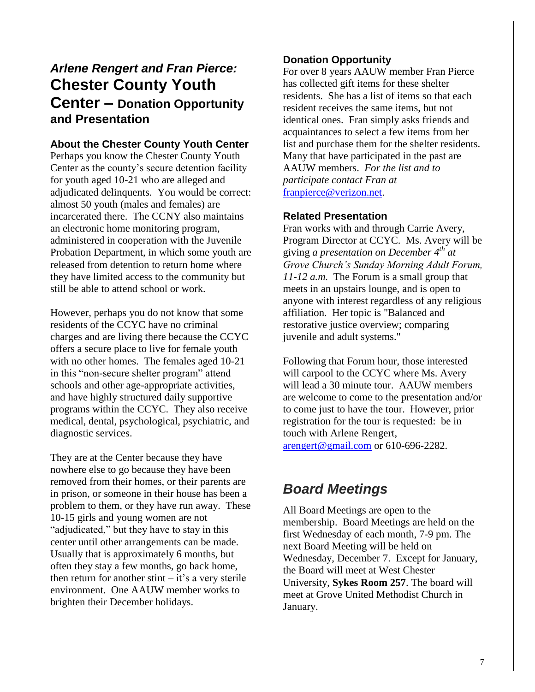# *Arlene Rengert and Fran Pierce:* **Chester County Youth Center – Donation Opportunity and Presentation**

### **About the Chester County Youth Center**

Perhaps you know the Chester County Youth Center as the county's secure detention facility for youth aged 10-21 who are alleged and adjudicated delinquents. You would be correct: almost 50 youth (males and females) are incarcerated there. The CCNY also maintains an electronic home monitoring program, administered in cooperation with the Juvenile Probation Department, in which some youth are released from detention to return home where they have limited access to the community but still be able to attend school or work.

However, perhaps you do not know that some residents of the CCYC have no criminal charges and are living there because the CCYC offers a secure place to live for female youth with no other homes. The females aged 10-21 in this "non-secure shelter program" attend schools and other age-appropriate activities, and have highly structured daily supportive programs within the CCYC. They also receive medical, dental, psychological, psychiatric, and diagnostic services.

They are at the Center because they have nowhere else to go because they have been removed from their homes, or their parents are in prison, or someone in their house has been a problem to them, or they have run away. These 10-15 girls and young women are not "adjudicated," but they have to stay in this center until other arrangements can be made. Usually that is approximately 6 months, but often they stay a few months, go back home, then return for another stint  $-$  it's a very sterile environment. One AAUW member works to brighten their December holidays.

### **Donation Opportunity**

For over 8 years AAUW member Fran Pierce has collected gift items for these shelter residents. She has a list of items so that each resident receives the same items, but not identical ones. Fran simply asks friends and acquaintances to select a few items from her list and purchase them for the shelter residents. Many that have participated in the past are AAUW members. *For the list and to participate contact Fran at* [franpierce@verizon.net.](mailto:franpierce@verizon.net)

#### **Related Presentation**

Fran works with and through Carrie Avery, Program Director at CCYC. Ms. Avery will be giving *a presentation on December 4th at Grove Church's Sunday Morning Adult Forum, 11-12 a.m.* The Forum is a small group that meets in an upstairs lounge, and is open to anyone with interest regardless of any religious affiliation. Her topic is "Balanced and restorative justice overview; comparing juvenile and adult systems."

Following that Forum hour, those interested will carpool to the CCYC where Ms. Avery will lead a 30 minute tour. AAUW members are welcome to come to the presentation and/or to come just to have the tour. However, prior registration for the tour is requested: be in touch with Arlene Rengert, [arengert@gmail.com](mailto:arengert@gmail.com) or 610-696-2282.

# *Board Meetings*

All Board Meetings are open to the membership. Board Meetings are held on the first Wednesday of each month, 7-9 pm. The next Board Meeting will be held on Wednesday, December 7. Except for January, the Board will meet at West Chester University, **Sykes Room 257**. The board will meet at Grove United Methodist Church in January.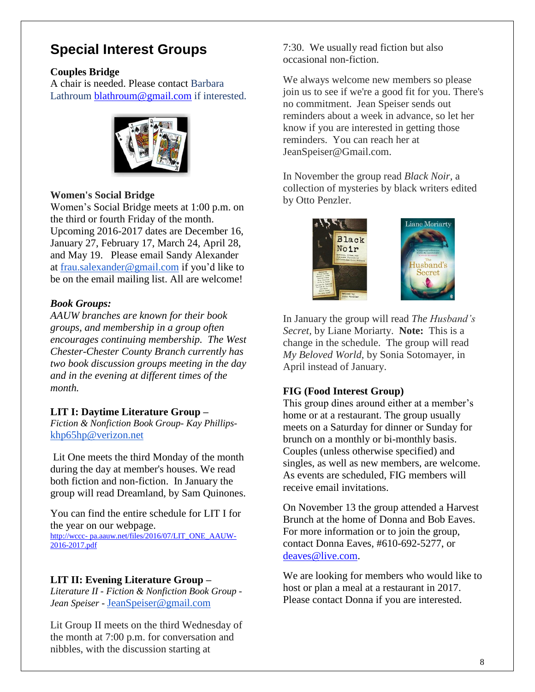## **Special Interest Groups**

#### **Couples Bridge**

A chair is needed. Please contact Barbara Lathroum [blathroum@gmail.com](mailto:blathroum@gmail.com) if interested.



#### **Women's Social Bridge**

Women's Social Bridge meets at 1:00 p.m. on the third or fourth Friday of the month. Upcoming 2016-2017 dates are December 16, January 27, February 17, March 24, April 28, and May 19. Please email Sandy Alexander at [frau.salexander@gmail.com](mailto:frau.salexander@gmail.com) if you'd like to be on the email mailing list. All are welcome!

#### *Book Groups:*

*AAUW branches are known for their book groups, and membership in a group often encourages continuing membership. The West Chester-Chester County Branch currently has two book discussion groups meeting in the day and in the evening at different times of the month.* 

#### **LIT I: Daytime Literature Group –**

*Fiction & Nonfiction Book Group- Kay Phillips*[khp65hp@verizon.net](mailto:khp65hp@verizon.net)

Lit One meets the third Monday of the month during the day at member's houses. We read both fiction and non-fiction. In January the group will read Dreamland, by Sam Quinones.

You can find the entire schedule for LIT I for the year on our webpage.

http://wccc- pa.aauw.net/files/2016/07/LIT\_ONE\_AAUW-2016-2017.pdf

#### **LIT II: Evening Literature Group –**

*Literature II - Fiction & Nonfiction Book Group - Jean Speiser -* [JeanSpeiser@gmail.com](mailto:JeanSpeiser@gmail.com)

Lit Group II meets on the third Wednesday of the month at 7:00 p.m. for conversation and nibbles, with the discussion starting at

7:30. We usually read fiction but also occasional non-fiction.

We always welcome new members so please join us to see if we're a good fit for you. There's no commitment. Jean Speiser sends out reminders about a week in advance, so let her know if you are interested in getting those reminders. You can reach her at JeanSpeiser@Gmail.com.

In November the group read *Black Noir,* a collection of mysteries by black writers edited by Otto Penzler.



In January the group will read *The Husband's Secret,* by Liane Moriarty. **Note:** This is a change in the schedule. The group will read *My Beloved World*, by Sonia Sotomayer, in April instead of January.

### **FIG (Food Interest Group)**

This group dines around either at a member's home or at a restaurant. The group usually meets on a Saturday for dinner or Sunday for brunch on a monthly or bi-monthly basis. Couples (unless otherwise specified) and singles, as well as new members, are welcome. As events are scheduled, FIG members will receive email invitations.

On November 13 the group attended a Harvest Brunch at the home of Donna and Bob Eaves. For more information or to join the group, contact Donna Eaves, #610-692-5277, or [deaves@live.com.](mailto:deaves@live.com)

We are looking for members who would like to host or plan a meal at a restaurant in 2017. Please contact Donna if you are interested.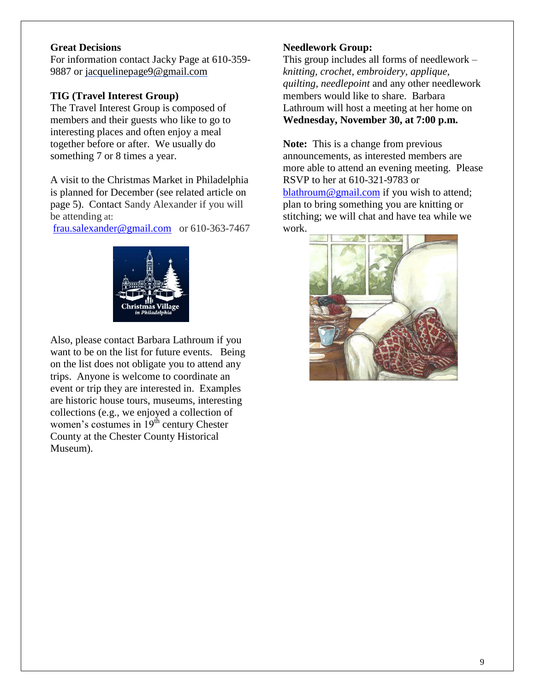### **Great Decisions**

For information contact Jacky Page at 610-359- 9887 or [jacquelinepage9@gmail.com](mailto:jacquelinepage9@gmail.com)

### **TIG (Travel Interest Group)**

The Travel Interest Group is composed of members and their guests who like to go to interesting places and often enjoy a meal together before or after. We usually do something 7 or 8 times a year.

A visit to the Christmas Market in Philadelphia is planned for December (see related article on page 5). Contact Sandy Alexander if you will be attending at:

[frau.salexander@gmail.com](mailto:frau.salexander@gmail.com) or 610-363-7467



Also, please contact Barbara Lathroum if you want to be on the list for future events. Being on the list does not obligate you to attend any trips. Anyone is welcome to coordinate an event or trip they are interested in. Examples are historic house tours, museums, interesting collections (e.g., we enjoyed a collection of women's costumes in  $19<sup>th</sup>$  century Chester County at the Chester County Historical Museum).

### **Needlework Group:**

This group includes all forms of needlework – *knitting, crochet, embroidery, applique, quilting, needlepoint* and any other needlework members would like to share. Barbara Lathroum will host a meeting at her home on **Wednesday, November 30, at 7:00 p.m.**

**Note:** This is a change from previous announcements, as interested members are more able to attend an evening meeting. Please RSVP to her at 610-321-9783 or [blathroum@gmail.com](mailto:blathroum@gmail.com) if you wish to attend; plan to bring something you are knitting or stitching; we will chat and have tea while we work.

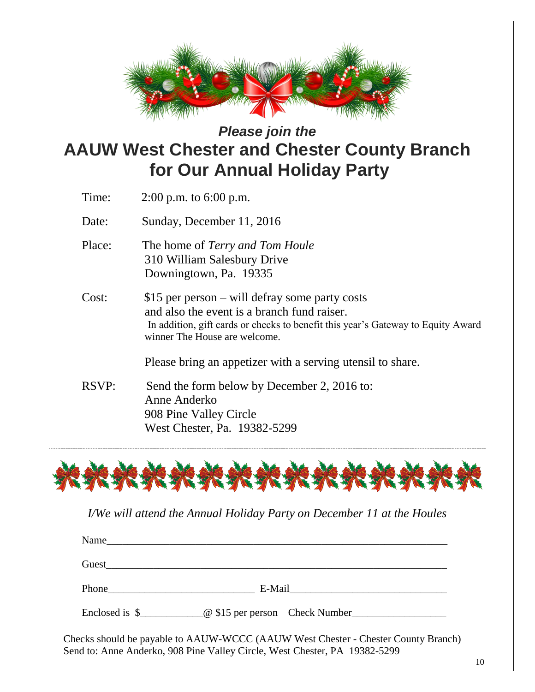

# *Please join the*  **AAUW West Chester and Chester County Branch for Our Annual Holiday Party**

- Time: 2:00 p.m. to 6:00 p.m.
- Date: Sunday, December 11, 2016
- Place: The home of *Terry and Tom Houle* 310 William Salesbury Drive Downingtown, Pa. 19335
- Cost: \$15 per person will defray some party costs and also the event is a branch fund raiser. In addition, gift cards or checks to benefit this year's Gateway to Equity Award winner The House are welcome.

Please bring an appetizer with a serving utensil to share.

RSVP: Send the form below by December 2, 2016 to: Anne Anderko 908 Pine Valley Circle West Chester, Pa. 19382-5299



*I/We will attend the Annual Holiday Party on December 11 at the Houles* 

| Phone E-Mail E-Mail                                                                 |
|-------------------------------------------------------------------------------------|
| Enclosed is \$________________@ \$15 per person Check Number_______________________ |

Send to: Anne Anderko, 908 Pine Valley Circle, West Chester, PA 19382-5299